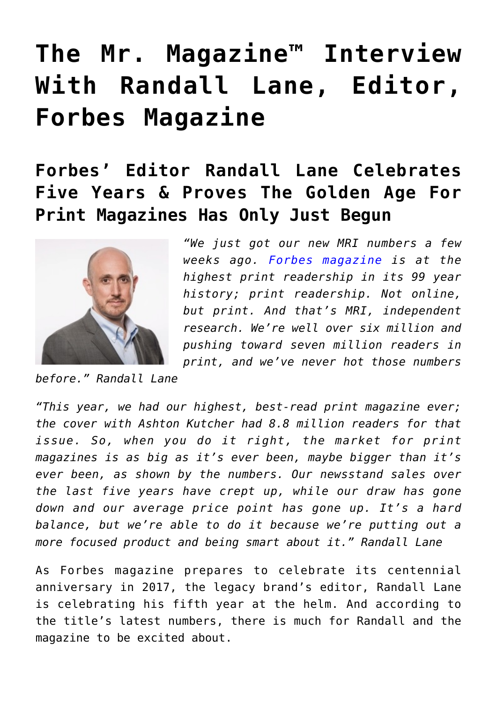# **[The Mr. Magazine™ Interview](https://www.commpro.biz/the-mr-magazine-interview-with-randall-lane-editor-forbes-magazine/) [With Randall Lane, Editor,](https://www.commpro.biz/the-mr-magazine-interview-with-randall-lane-editor-forbes-magazine/) [Forbes Magazine](https://www.commpro.biz/the-mr-magazine-interview-with-randall-lane-editor-forbes-magazine/)**

## **Forbes' Editor Randall Lane Celebrates Five Years & Proves The Golden Age For Print Magazines Has Only Just Begun**



*"We just got our new MRI numbers a few weeks ago. [Forbes magazine](https://www.forbes.com/) is at the highest print readership in its 99 year history; print readership. Not online, but print. And that's MRI, independent research. We're well over six million and pushing toward seven million readers in print, and we've never hot those numbers*

*before." Randall Lane*

*"This year, we had our highest, best-read print magazine ever; the cover with Ashton Kutcher had 8.8 million readers for that issue. So, when you do it right, the market for print magazines is as big as it's ever been, maybe bigger than it's ever been, as shown by the numbers. Our newsstand sales over the last five years have crept up, while our draw has gone down and our average price point has gone up. It's a hard balance, but we're able to do it because we're putting out a more focused product and being smart about it." Randall Lane*

As Forbes magazine prepares to celebrate its centennial anniversary in 2017, the legacy brand's editor, Randall Lane is celebrating his fifth year at the helm. And according to the title's latest numbers, there is much for Randall and the magazine to be excited about.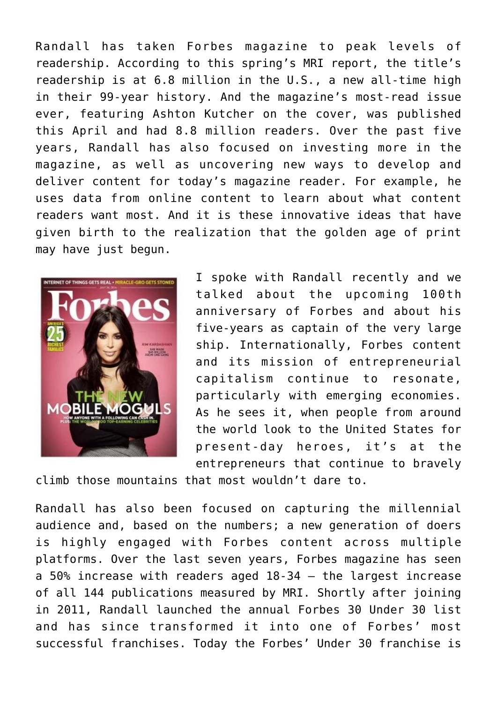Randall has taken Forbes magazine to peak levels of readership. According to this spring's MRI report, the title's readership is at 6.8 million in the U.S., a new all-time high in their 99-year history. And the magazine's most-read issue ever, featuring Ashton Kutcher on the cover, was published this April and had 8.8 million readers. Over the past five years, Randall has also focused on investing more in the magazine, as well as uncovering new ways to develop and deliver content for today's magazine reader. For example, he uses data from online content to learn about what content readers want most. And it is these innovative ideas that have given birth to the realization that the golden age of print may have just begun.



I spoke with Randall recently and we talked about the upcoming 100th anniversary of Forbes and about his five-years as captain of the very large ship. Internationally, Forbes content and its mission of entrepreneurial capitalism continue to resonate, particularly with emerging economies. As he sees it, when people from around the world look to the United States for present-day heroes, it's at the entrepreneurs that continue to bravely

climb those mountains that most wouldn't dare to.

Randall has also been focused on capturing the millennial audience and, based on the numbers; a new generation of doers is highly engaged with Forbes content across multiple platforms. Over the last seven years, Forbes magazine has seen a 50% increase with readers aged 18-34 – the largest increase of all 144 publications measured by MRI. Shortly after joining in 2011, Randall launched the annual Forbes 30 Under 30 list and has since transformed it into one of Forbes' most successful franchises. Today the Forbes' Under 30 franchise is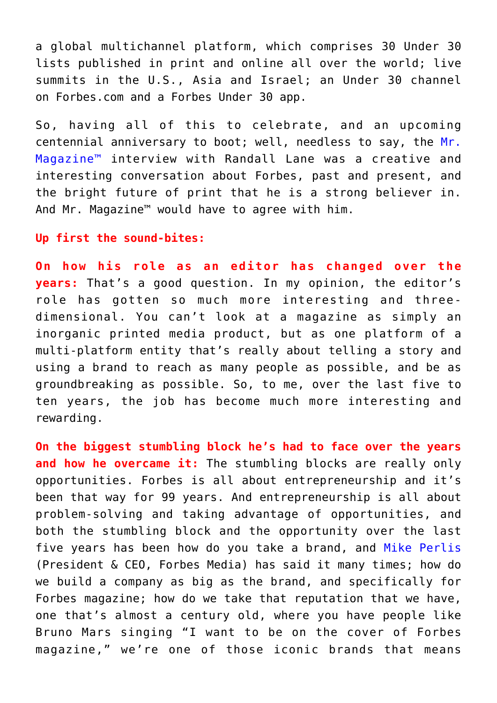a global multichannel platform, which comprises 30 Under 30 lists published in print and online all over the world; live summits in the U.S., Asia and Israel; an Under 30 channel on Forbes.com and a Forbes Under 30 app.

So, having all of this to celebrate, and an upcoming centennial anniversary to boot; well, needless to say, the [Mr.](https://www.commpro.biz/mr-magazine-blog/) Magazine<sup>™</sup> interview with Randall Lane was a creative and interesting conversation about Forbes, past and present, and the bright future of print that he is a strong believer in. And Mr. Magazine™ would have to agree with him.

#### **Up first the sound-bites:**

**On how his role as an editor has changed over the years:** That's a good question. In my opinion, the editor's role has gotten so much more interesting and threedimensional. You can't look at a magazine as simply an inorganic printed media product, but as one platform of a multi-platform entity that's really about telling a story and using a brand to reach as many people as possible, and be as groundbreaking as possible. So, to me, over the last five to ten years, the job has become much more interesting and rewarding.

**On the biggest stumbling block he's had to face over the years and how he overcame it:** The stumbling blocks are really only opportunities. Forbes is all about entrepreneurship and it's been that way for 99 years. And entrepreneurship is all about problem-solving and taking advantage of opportunities, and both the stumbling block and the opportunity over the last five years has been how do you take a brand, and [Mike Perlis](https://en.wikipedia.org/wiki/Michael_Perlis) (President & CEO, Forbes Media) has said it many times; how do we build a company as big as the brand, and specifically for Forbes magazine; how do we take that reputation that we have, one that's almost a century old, where you have people like Bruno Mars singing "I want to be on the cover of Forbes magazine," we're one of those iconic brands that means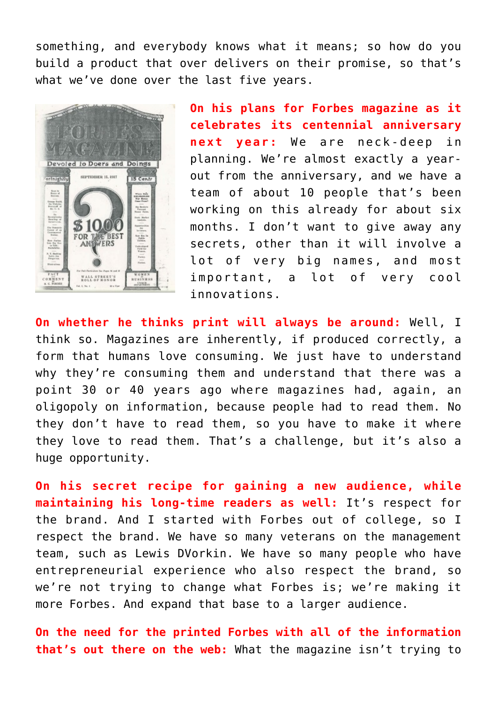something, and everybody knows what it means; so how do you build a product that over delivers on their promise, so that's what we've done over the last five years.



**On his plans for Forbes magazine as it celebrates its centennial anniversary next year:** We are neck-deep in planning. We're almost exactly a yearout from the anniversary, and we have a team of about 10 people that's been working on this already for about six months. I don't want to give away any secrets, other than it will involve a lot of very big names, and most important, a lot of very cool innovations.

**On whether he thinks print will always be around:** Well, I think so. Magazines are inherently, if produced correctly, a form that humans love consuming. We just have to understand why they're consuming them and understand that there was a point 30 or 40 years ago where magazines had, again, an oligopoly on information, because people had to read them. No they don't have to read them, so you have to make it where they love to read them. That's a challenge, but it's also a huge opportunity.

**On his secret recipe for gaining a new audience, while maintaining his long-time readers as well:** It's respect for the brand. And I started with Forbes out of college, so I respect the brand. We have so many veterans on the management team, such as Lewis DVorkin. We have so many people who have entrepreneurial experience who also respect the brand, so we're not trying to change what Forbes is; we're making it more Forbes. And expand that base to a larger audience.

**On the need for the printed Forbes with all of the information that's out there on the web:** What the magazine isn't trying to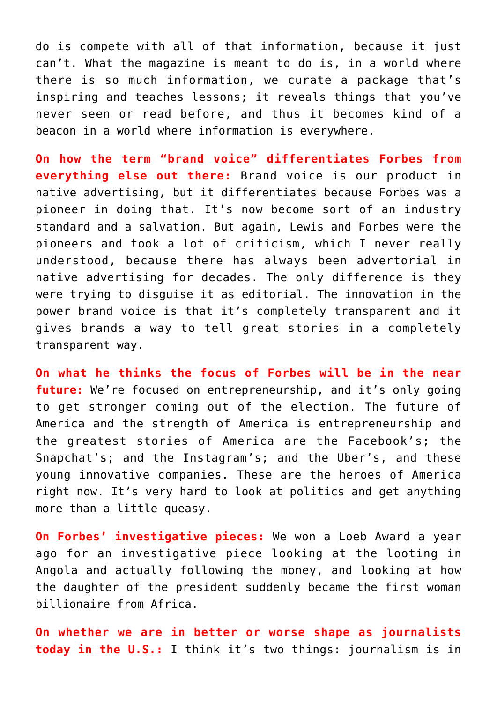do is compete with all of that information, because it just can't. What the magazine is meant to do is, in a world where there is so much information, we curate a package that's inspiring and teaches lessons; it reveals things that you've never seen or read before, and thus it becomes kind of a beacon in a world where information is everywhere.

**On how the term "brand voice" differentiates Forbes from everything else out there:** Brand voice is our product in native advertising, but it differentiates because Forbes was a pioneer in doing that. It's now become sort of an industry standard and a salvation. But again, Lewis and Forbes were the pioneers and took a lot of criticism, which I never really understood, because there has always been advertorial in native advertising for decades. The only difference is they were trying to disguise it as editorial. The innovation in the power brand voice is that it's completely transparent and it gives brands a way to tell great stories in a completely transparent way.

**On what he thinks the focus of Forbes will be in the near future:** We're focused on entrepreneurship, and it's only going to get stronger coming out of the election. The future of America and the strength of America is entrepreneurship and the greatest stories of America are the Facebook's; the Snapchat's; and the Instagram's; and the Uber's, and these young innovative companies. These are the heroes of America right now. It's very hard to look at politics and get anything more than a little queasy.

**On Forbes' investigative pieces:** We won a Loeb Award a year ago for an investigative piece looking at the looting in Angola and actually following the money, and looking at how the daughter of the president suddenly became the first woman billionaire from Africa.

**On whether we are in better or worse shape as journalists today in the U.S.:** I think it's two things: journalism is in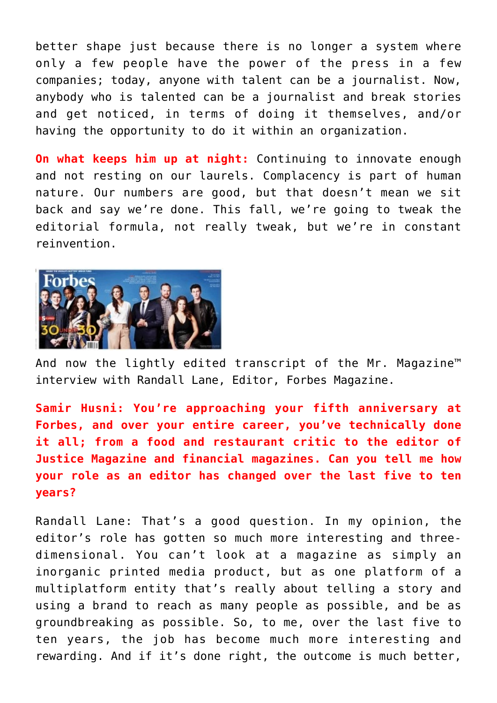better shape just because there is no longer a system where only a few people have the power of the press in a few companies; today, anyone with talent can be a journalist. Now, anybody who is talented can be a journalist and break stories and get noticed, in terms of doing it themselves, and/or having the opportunity to do it within an organization.

**On what keeps him up at night:** Continuing to innovate enough and not resting on our laurels. Complacency is part of human nature. Our numbers are good, but that doesn't mean we sit back and say we're done. This fall, we're going to tweak the editorial formula, not really tweak, but we're in constant reinvention.



And now the lightly edited transcript of the Mr. Magazine™ interview with Randall Lane, Editor, Forbes Magazine.

**Samir Husni: You're approaching your fifth anniversary at Forbes, and over your entire career, you've technically done it all; from a food and restaurant critic to the editor of Justice Magazine and financial magazines. Can you tell me how your role as an editor has changed over the last five to ten years?**

Randall Lane: That's a good question. In my opinion, the editor's role has gotten so much more interesting and threedimensional. You can't look at a magazine as simply an inorganic printed media product, but as one platform of a multiplatform entity that's really about telling a story and using a brand to reach as many people as possible, and be as groundbreaking as possible. So, to me, over the last five to ten years, the job has become much more interesting and rewarding. And if it's done right, the outcome is much better,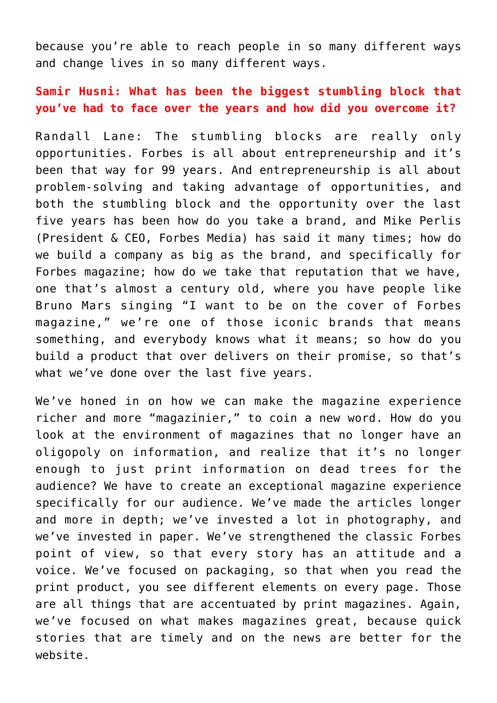because you're able to reach people in so many different ways and change lives in so many different ways.

#### **Samir Husni: What has been the biggest stumbling block that you've had to face over the years and how did you overcome it?**

Randall Lane: The stumbling blocks are really only opportunities. Forbes is all about entrepreneurship and it's been that way for 99 years. And entrepreneurship is all about problem-solving and taking advantage of opportunities, and both the stumbling block and the opportunity over the last five years has been how do you take a brand, and Mike Perlis (President & CEO, Forbes Media) has said it many times; how do we build a company as big as the brand, and specifically for Forbes magazine; how do we take that reputation that we have, one that's almost a century old, where you have people like Bruno Mars singing "I want to be on the cover of Forbes magazine," we're one of those iconic brands that means something, and everybody knows what it means; so how do you build a product that over delivers on their promise, so that's what we've done over the last five years.

We've honed in on how we can make the magazine experience richer and more "magazinier," to coin a new word. How do you look at the environment of magazines that no longer have an oligopoly on information, and realize that it's no longer enough to just print information on dead trees for the audience? We have to create an exceptional magazine experience specifically for our audience. We've made the articles longer and more in depth; we've invested a lot in photography, and we've invested in paper. We've strengthened the classic Forbes point of view, so that every story has an attitude and a voice. We've focused on packaging, so that when you read the print product, you see different elements on every page. Those are all things that are accentuated by print magazines. Again, we've focused on what makes magazines great, because quick stories that are timely and on the news are better for the website.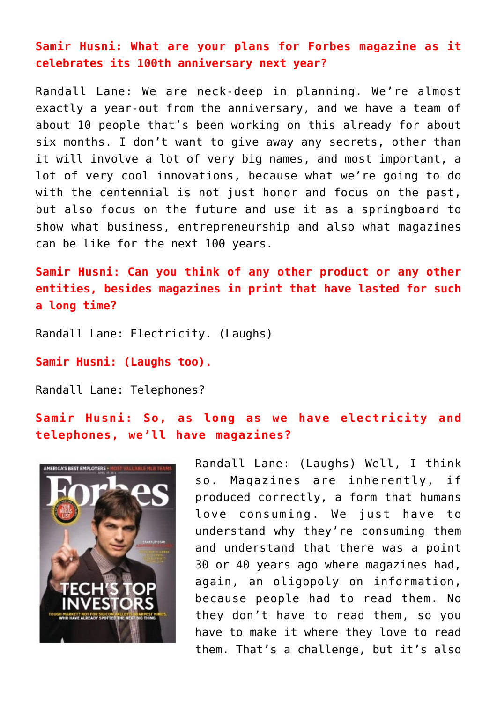**Samir Husni: What are your plans for Forbes magazine as it celebrates its 100th anniversary next year?**

Randall Lane: We are neck-deep in planning. We're almost exactly a year-out from the anniversary, and we have a team of about 10 people that's been working on this already for about six months. I don't want to give away any secrets, other than it will involve a lot of very big names, and most important, a lot of very cool innovations, because what we're going to do with the centennial is not just honor and focus on the past, but also focus on the future and use it as a springboard to show what business, entrepreneurship and also what magazines can be like for the next 100 years.

**Samir Husni: Can you think of any other product or any other entities, besides magazines in print that have lasted for such a long time?**

Randall Lane: Electricity. (Laughs)

**Samir Husni: (Laughs too).**

Randall Lane: Telephones?

**Samir Husni: So, as long as we have electricity and telephones, we'll have magazines?**



Randall Lane: (Laughs) Well, I think so. Magazines are inherently, if produced correctly, a form that humans love consuming. We just have to understand why they're consuming them and understand that there was a point 30 or 40 years ago where magazines had, again, an oligopoly on information, because people had to read them. No they don't have to read them, so you have to make it where they love to read them. That's a challenge, but it's also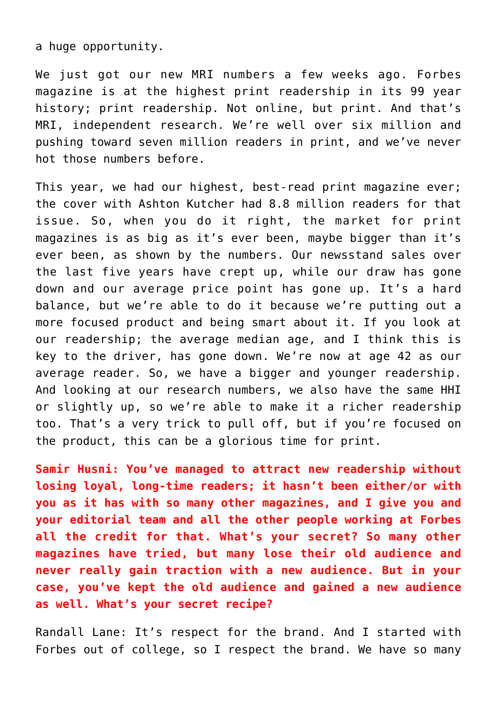a huge opportunity.

We just got our new MRI numbers a few weeks ago. Forbes magazine is at the highest print readership in its 99 year history; print readership. Not online, but print. And that's MRI, independent research. We're well over six million and pushing toward seven million readers in print, and we've never hot those numbers before.

This year, we had our highest, best-read print magazine ever; the cover with Ashton Kutcher had 8.8 million readers for that issue. So, when you do it right, the market for print magazines is as big as it's ever been, maybe bigger than it's ever been, as shown by the numbers. Our newsstand sales over the last five years have crept up, while our draw has gone down and our average price point has gone up. It's a hard balance, but we're able to do it because we're putting out a more focused product and being smart about it. If you look at our readership; the average median age, and I think this is key to the driver, has gone down. We're now at age 42 as our average reader. So, we have a bigger and younger readership. And looking at our research numbers, we also have the same HHI or slightly up, so we're able to make it a richer readership too. That's a very trick to pull off, but if you're focused on the product, this can be a glorious time for print.

**Samir Husni: You've managed to attract new readership without losing loyal, long-time readers; it hasn't been either/or with you as it has with so many other magazines, and I give you and your editorial team and all the other people working at Forbes all the credit for that. What's your secret? So many other magazines have tried, but many lose their old audience and never really gain traction with a new audience. But in your case, you've kept the old audience and gained a new audience as well. What's your secret recipe?**

Randall Lane: It's respect for the brand. And I started with Forbes out of college, so I respect the brand. We have so many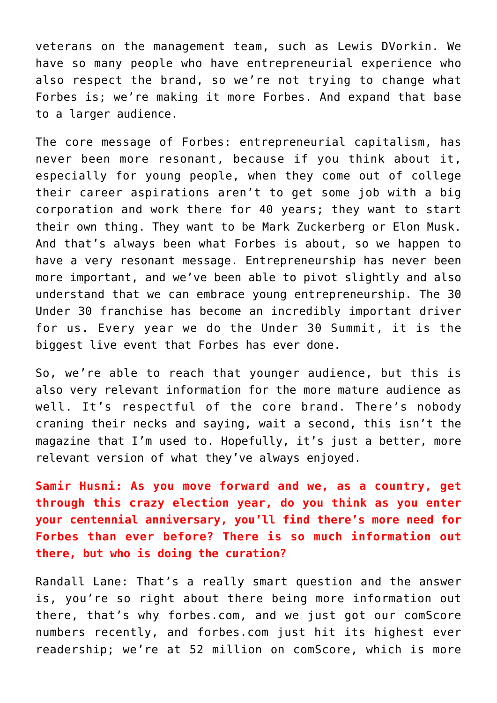veterans on the management team, such as Lewis DVorkin. We have so many people who have entrepreneurial experience who also respect the brand, so we're not trying to change what Forbes is; we're making it more Forbes. And expand that base to a larger audience.

The core message of Forbes: entrepreneurial capitalism, has never been more resonant, because if you think about it, especially for young people, when they come out of college their career aspirations aren't to get some job with a big corporation and work there for 40 years; they want to start their own thing. They want to be Mark Zuckerberg or Elon Musk. And that's always been what Forbes is about, so we happen to have a very resonant message. Entrepreneurship has never been more important, and we've been able to pivot slightly and also understand that we can embrace young entrepreneurship. The 30 Under 30 franchise has become an incredibly important driver for us. Every year we do the Under 30 Summit, it is the biggest live event that Forbes has ever done.

So, we're able to reach that younger audience, but this is also very relevant information for the more mature audience as well. It's respectful of the core brand. There's nobody craning their necks and saying, wait a second, this isn't the magazine that I'm used to. Hopefully, it's just a better, more relevant version of what they've always enjoyed.

**Samir Husni: As you move forward and we, as a country, get through this crazy election year, do you think as you enter your centennial anniversary, you'll find there's more need for Forbes than ever before? There is so much information out there, but who is doing the curation?**

Randall Lane: That's a really smart question and the answer is, you're so right about there being more information out there, that's why forbes.com, and we just got our comScore numbers recently, and forbes.com just hit its highest ever readership; we're at 52 million on comScore, which is more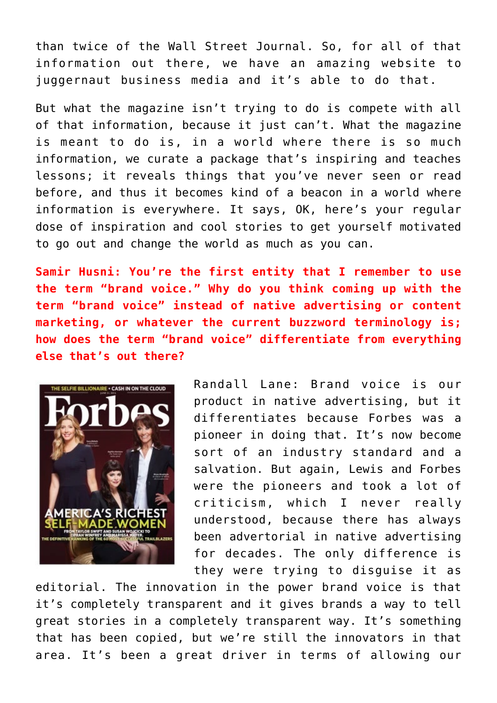than twice of the Wall Street Journal. So, for all of that information out there, we have an amazing website to juggernaut business media and it's able to do that.

But what the magazine isn't trying to do is compete with all of that information, because it just can't. What the magazine is meant to do is, in a world where there is so much information, we curate a package that's inspiring and teaches lessons; it reveals things that you've never seen or read before, and thus it becomes kind of a beacon in a world where information is everywhere. It says, OK, here's your regular dose of inspiration and cool stories to get yourself motivated to go out and change the world as much as you can.

**Samir Husni: You're the first entity that I remember to use the term "brand voice." Why do you think coming up with the term "brand voice" instead of native advertising or content marketing, or whatever the current buzzword terminology is; how does the term "brand voice" differentiate from everything else that's out there?**



Randall Lane: Brand voice is our product in native advertising, but it differentiates because Forbes was a pioneer in doing that. It's now become sort of an industry standard and a salvation. But again, Lewis and Forbes were the pioneers and took a lot of criticism, which I never really understood, because there has always been advertorial in native advertising for decades. The only difference is they were trying to disguise it as

editorial. The innovation in the power brand voice is that it's completely transparent and it gives brands a way to tell great stories in a completely transparent way. It's something that has been copied, but we're still the innovators in that area. It's been a great driver in terms of allowing our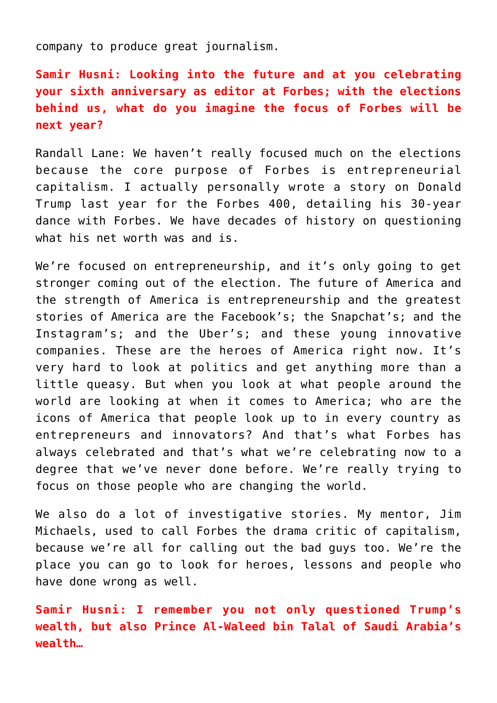company to produce great journalism.

**Samir Husni: Looking into the future and at you celebrating your sixth anniversary as editor at Forbes; with the elections behind us, what do you imagine the focus of Forbes will be next year?**

Randall Lane: We haven't really focused much on the elections because the core purpose of Forbes is entrepreneurial capitalism. I actually personally wrote a story on Donald Trump last year for the Forbes 400, detailing his 30-year dance with Forbes. We have decades of history on questioning what his net worth was and is.

We're focused on entrepreneurship, and it's only going to get stronger coming out of the election. The future of America and the strength of America is entrepreneurship and the greatest stories of America are the Facebook's; the Snapchat's; and the Instagram's; and the Uber's; and these young innovative companies. These are the heroes of America right now. It's very hard to look at politics and get anything more than a little queasy. But when you look at what people around the world are looking at when it comes to America; who are the icons of America that people look up to in every country as entrepreneurs and innovators? And that's what Forbes has always celebrated and that's what we're celebrating now to a degree that we've never done before. We're really trying to focus on those people who are changing the world.

We also do a lot of investigative stories. My mentor, Jim Michaels, used to call Forbes the drama critic of capitalism, because we're all for calling out the bad guys too. We're the place you can go to look for heroes, lessons and people who have done wrong as well.

**Samir Husni: I remember you not only questioned Trump's wealth, but also Prince Al-Waleed bin Talal of Saudi Arabia's wealth…**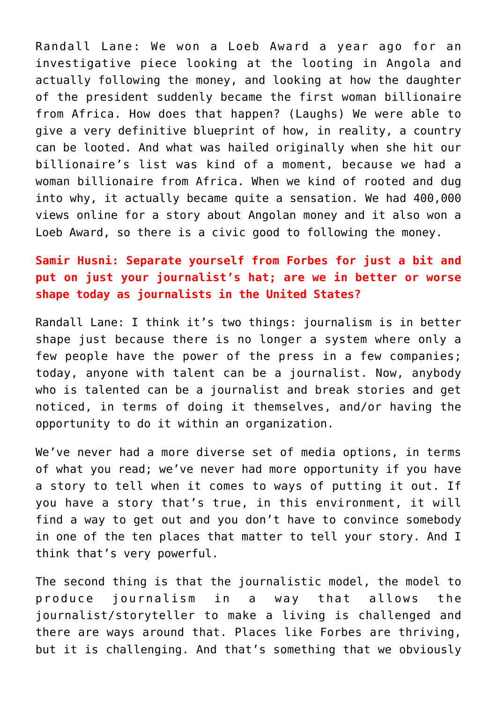Randall Lane: We won a Loeb Award a year ago for an investigative piece looking at the looting in Angola and actually following the money, and looking at how the daughter of the president suddenly became the first woman billionaire from Africa. How does that happen? (Laughs) We were able to give a very definitive blueprint of how, in reality, a country can be looted. And what was hailed originally when she hit our billionaire's list was kind of a moment, because we had a woman billionaire from Africa. When we kind of rooted and dug into why, it actually became quite a sensation. We had 400,000 views online for a story about Angolan money and it also won a Loeb Award, so there is a civic good to following the money.

### **Samir Husni: Separate yourself from Forbes for just a bit and put on just your journalist's hat; are we in better or worse shape today as journalists in the United States?**

Randall Lane: I think it's two things: journalism is in better shape just because there is no longer a system where only a few people have the power of the press in a few companies; today, anyone with talent can be a journalist. Now, anybody who is talented can be a journalist and break stories and get noticed, in terms of doing it themselves, and/or having the opportunity to do it within an organization.

We've never had a more diverse set of media options, in terms of what you read; we've never had more opportunity if you have a story to tell when it comes to ways of putting it out. If you have a story that's true, in this environment, it will find a way to get out and you don't have to convince somebody in one of the ten places that matter to tell your story. And I think that's very powerful.

The second thing is that the journalistic model, the model to produce journalism in a way that allows the journalist/storyteller to make a living is challenged and there are ways around that. Places like Forbes are thriving, but it is challenging. And that's something that we obviously